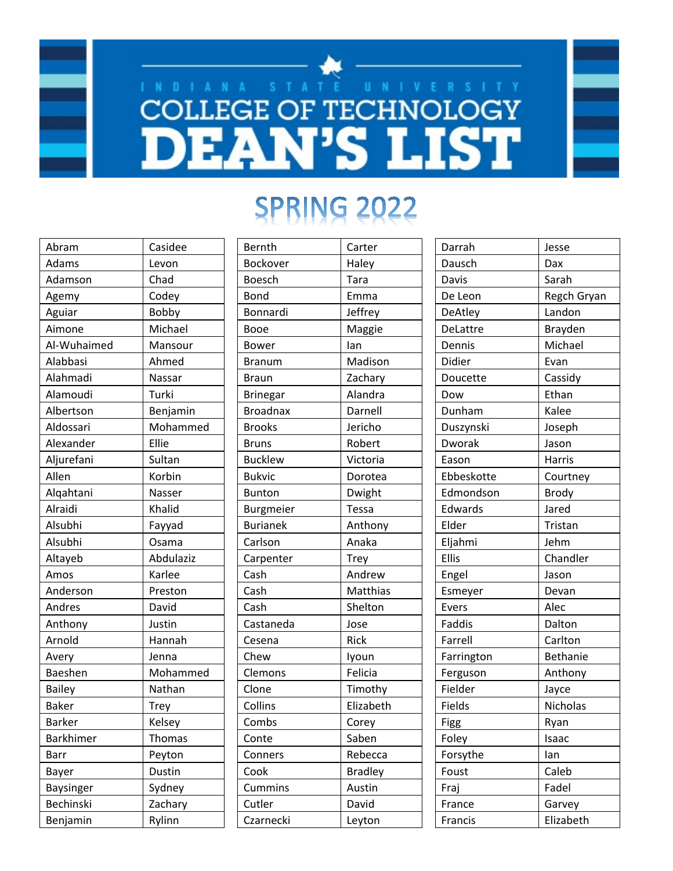## **COLLEGE OF TECHNOLOGY DEAN'S LIST**

## SPRING 2022

| Abram            | Casidee   |
|------------------|-----------|
| Adams            | Levon     |
| Adamson          | Chad      |
| Agemy            | Codey     |
| Aguiar           | Bobby     |
| Aimone           | Michael   |
| Al-Wuhaimed      | Mansour   |
| Alabbasi         | Ahmed     |
| Alahmadi         | Nassar    |
| Alamoudi         | Turki     |
| Albertson        | Benjamin  |
| Aldossari        | Mohammed  |
| Alexander        | Ellie     |
| Aljurefani       | Sultan    |
| Allen            | Korbin    |
| Alqahtani        | Nasser    |
| Alraidi          | Khalid    |
| Alsubhi          | Fayyad    |
| Alsubhi          | Osama     |
| Altayeb          | Abdulaziz |
| Amos             | Karlee    |
| Anderson         | Preston   |
| Andres           | David     |
| Anthony          | Justin    |
| Arnold           | Hannah    |
| Avery            | Jenna     |
| Baeshen          | Mohammed  |
| <b>Bailey</b>    | Nathan    |
| Baker            | Trey      |
| <b>Barker</b>    | Kelsey    |
| Barkhimer        | Thomas    |
| <b>Barr</b>      | Peyton    |
| Bayer            | Dustin    |
| <b>Baysinger</b> | Sydney    |
| Bechinski        | Zachary   |
| Benjamin         | Rylinn    |

| Bernth           | Carter         |
|------------------|----------------|
| Bockover         | Haley          |
| Boesch           | Tara           |
| Bond             | Emma           |
| Bonnardi         | Jeffrey        |
| Booe             | Maggie         |
| Bower            | Ian            |
| <b>Branum</b>    | Madison        |
| Braun            | Zachary        |
| <b>Brinegar</b>  | Alandra        |
| <b>Broadnax</b>  | Darnell        |
| <b>Brooks</b>    | Jericho        |
| <b>Bruns</b>     | Robert         |
| <b>Bucklew</b>   | Victoria       |
| <b>Bukvic</b>    | Dorotea        |
| <b>Bunton</b>    | Dwight         |
| <b>Burgmeier</b> | Tessa          |
| <b>Burianek</b>  | Anthony        |
| Carlson          | Anaka          |
| Carpenter        | <b>Trey</b>    |
| Cash             | Andrew         |
| Cash             | Matthias       |
| Cash             | Shelton        |
| Castaneda        | Jose           |
| Cesena           | Rick           |
| Chew             | Iyoun          |
| Clemons          | Felicia        |
| Clone            | Timothy        |
| Collins          | Elizabeth      |
| Combs            | Corey          |
| Conte            | Saben          |
| Conners          | Rebecca        |
| Cook             | <b>Bradley</b> |
| Cummins          | Austin         |
| Cutler           | David          |
| Czarnecki        | Leyton         |

| Darrah         | Jesse         |
|----------------|---------------|
| Dausch         | Dax           |
| Davis          | Sarah         |
| De Leon        | Regch Gryan   |
| <b>DeAtley</b> | Landon        |
| DeLattre       | Brayden       |
| Dennis         | Michael       |
| Didier         | Evan          |
| Doucette       | Cassidy       |
| Dow            | Ethan         |
| Dunham         | Kalee         |
| Duszynski      | Joseph        |
| Dworak         | Jason         |
| Eason          | <b>Harris</b> |
| Ebbeskotte     | Courtney      |
| Edmondson      | <b>Brody</b>  |
| Edwards        | Jared         |
| Elder          | Tristan       |
| Eljahmi        | Jehm          |
| <b>Ellis</b>   | Chandler      |
| Engel          | Jason         |
| Esmeyer        | Devan         |
| Evers          | Alec          |
| Faddis         | Dalton        |
| Farrell        | Carlton       |
| Farrington     | Bethanie      |
| Ferguson       | Anthony       |
| Fielder        | Jayce         |
| Fields         | Nicholas      |
| Figg           | Ryan          |
| Foley          | Isaac         |
| Forsythe       | lan           |
| Foust          | Caleb         |
| Fraj           | Fadel         |
| France         | Garvey        |
| Francis        | Elizabeth     |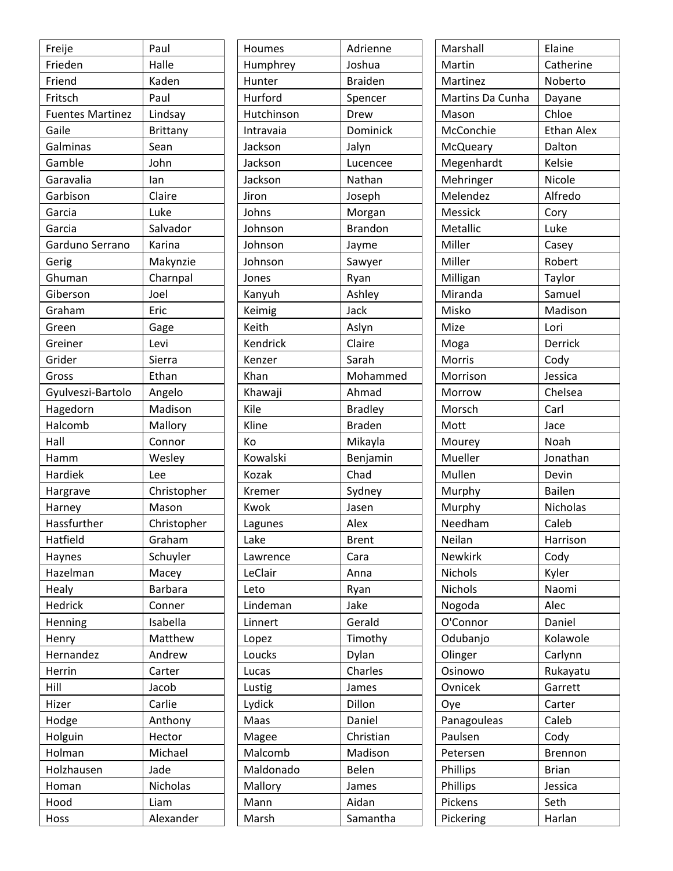| Freije                  | Paul            |
|-------------------------|-----------------|
| Frieden                 | Halle           |
| Friend                  | Kaden           |
| Fritsch                 | Paul            |
| <b>Fuentes Martinez</b> | Lindsay         |
| Gaile                   | <b>Brittany</b> |
| Galminas                | Sean            |
| Gamble                  | John            |
| Garavalia               | lan             |
| Garbison                | Claire          |
| Garcia                  | Luke            |
| Garcia                  | Salvador        |
| Garduno Serrano         | Karina          |
| Gerig                   | Makynzie        |
| Ghuman                  | Charnpal        |
| Giberson                | Joel            |
| Graham                  | Eric            |
| Green                   | Gage            |
| Greiner                 | Levi            |
| Grider                  | Sierra          |
| Gross                   | Ethan           |
| Gyulveszi-Bartolo       | Angelo          |
| Hagedorn                | Madison         |
| Halcomb                 | Mallory         |
| Hall                    | Connor          |
| Hamm                    | Wesley          |
| Hardiek                 | Lee             |
| Hargrave                | Christopher     |
| Harney                  | Mason           |
| Hassfurther             | Christopher     |
| Hatfield                | Graham          |
| Haynes                  | Schuyler        |
| Hazelman                | Macey           |
| Healy                   | <b>Barbara</b>  |
| Hedrick                 | Conner          |
| Henning                 | Isabella        |
| Henry                   | Matthew         |
| Hernandez               | Andrew          |
| Herrin                  | Carter          |
| Hill                    | Jacob           |
| Hizer                   | Carlie          |
| Hodge                   | Anthony         |
| Holguin                 | Hector          |
| Holman                  | Michael         |
| Holzhausen              | Jade            |
| Homan                   | Nicholas        |
| Hood                    | Liam            |
| Hoss                    | Alexander       |

| Houmes     | Adrienne       |
|------------|----------------|
| Humphrey   | Joshua         |
| Hunter     | <b>Braiden</b> |
| Hurford    | Spencer        |
| Hutchinson | Drew           |
| Intravaia  | Dominick       |
| Jackson    | Jalyn          |
| Jackson    | Lucencee       |
| Jackson    | Nathan         |
| Jiron      | Joseph         |
| Johns      | Morgan         |
| Johnson    | <b>Brandon</b> |
| Johnson    | Jayme          |
| Johnson    | Sawyer         |
| Jones      | Ryan           |
| Kanyuh     | Ashley         |
| Keimig     | Jack           |
| Keith      | Aslyn          |
| Kendrick   | Claire         |
| Kenzer     | Sarah          |
| Khan       | Mohammed       |
| Khawaji    | Ahmad          |
| Kile       | <b>Bradley</b> |
| Kline      | <b>Braden</b>  |
| Кo         | Mikayla        |
| Kowalski   | Benjamin       |
| Kozak      | Chad           |
| Kremer     | Sydney         |
| Kwok       | Jasen          |
| Lagunes    | Alex           |
| Lake       | Brent          |
| Lawrence   | Cara           |
| LeClair    | Anna           |
| Leto       | Ryan           |
| Lindeman   | Jake           |
| Linnert    | Gerald         |
| Lopez      | Timothy        |
| Loucks     | Dylan          |
| Lucas      | Charles        |
| Lustig     | James          |
| Lydick     | Dillon         |
| Maas       | Daniel         |
| Magee      | Christian      |
| Malcomb    | Madison        |
| Maldonado  | Belen          |
| Mallory    | James          |
| Mann       | Aidan          |
| Marsh      | Samantha       |
|            |                |

| Marshall         | Elaine            |
|------------------|-------------------|
| Martin           | Catherine         |
| Martinez         | Noberto           |
| Martins Da Cunha | Dayane            |
| Mason            | Chloe             |
| McConchie        | <b>Ethan Alex</b> |
| McQueary         | Dalton            |
| Megenhardt       | Kelsie            |
| Mehringer        | Nicole            |
| Melendez         | Alfredo           |
| Messick          | Cory              |
| Metallic         | Luke              |
| Miller           | Casey             |
| Miller           | Robert            |
| Milligan         | Taylor            |
| Miranda          | Samuel            |
| Misko            | Madison           |
| Mize             | Lori              |
| Moga             | Derrick           |
| Morris           | Cody              |
| Morrison         | Jessica           |
| Morrow           | Chelsea           |
| Morsch           | Carl              |
| Mott             | Jace              |
| Mourey           | Noah              |
| Mueller          | Jonathan          |
| Mullen           | Devin             |
| Murphy           | <b>Bailen</b>     |
| Murphy           | Nicholas          |
| Needham          | Caleb             |
| Neilan           | Harrison          |
| <b>Newkirk</b>   | Cody              |
| Nichols          | Kyler             |
| Nichols          | Naomi             |
| Nogoda           | Alec              |
| O'Connor         | Daniel            |
| Odubanjo         | Kolawole          |
| Olinger          | Carlynn           |
| Osinowo          | Rukayatu          |
| Ovnicek          | Garrett           |
| Oye              | Carter            |
| Panagouleas      | Caleb             |
| Paulsen          | Cody              |
| Petersen         | <b>Brennon</b>    |
| Phillips         | <b>Brian</b>      |
| Phillips         | Jessica           |
| Pickens          | Seth              |
|                  |                   |
| Pickering        | Harlan            |